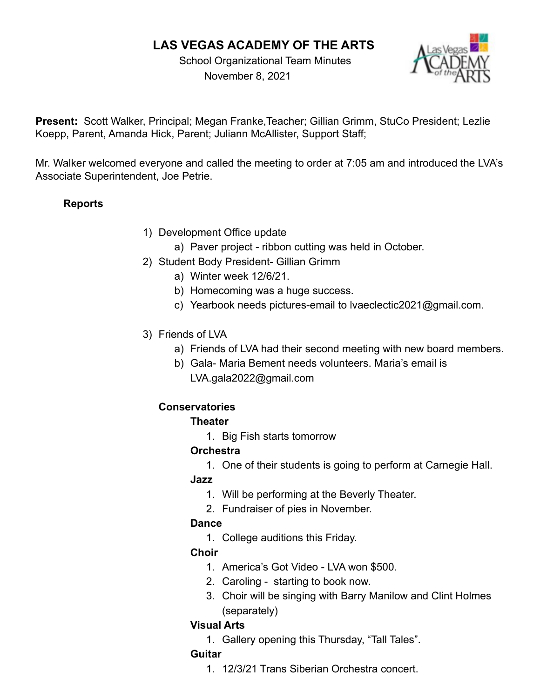# **LAS VEGAS ACADEMY OF THE ARTS**

School Organizational Team Minutes November 8, 2021



**Present:** Scott Walker, Principal; Megan Franke,Teacher; Gillian Grimm, StuCo President; Lezlie Koepp, Parent, Amanda Hick, Parent; Juliann McAllister, Support Staff;

Mr. Walker welcomed everyone and called the meeting to order at 7:05 am and introduced the LVA's Associate Superintendent, Joe Petrie.

### **Reports**

- 1) Development Office update
	- a) Paver project ribbon cutting was held in October.
- 2) Student Body President- Gillian Grimm
	- a) Winter week 12/6/21.
	- b) Homecoming was a huge success.
	- c) Yearbook needs pictures-email to lvaeclectic2021@gmail.com.
- 3) Friends of LVA
	- a) Friends of LVA had their second meeting with new board members.
	- b) Gala- Maria Bement needs volunteers. Maria's email is LVA.gala2022@gmail.com

#### **Conservatories**

#### **Theater**

1. Big Fish starts tomorrow

#### **Orchestra**

1. One of their students is going to perform at Carnegie Hall.

#### **Jazz**

- 1. Will be performing at the Beverly Theater.
- 2. Fundraiser of pies in November.

#### **Dance**

1. College auditions this Friday.

## **Choir**

- 1. America's Got Video LVA won \$500.
- 2. Caroling starting to book now.
- 3. Choir will be singing with Barry Manilow and Clint Holmes (separately)

#### **Visual Arts**

1. Gallery opening this Thursday, "Tall Tales".

#### **Guitar**

1. 12/3/21 Trans Siberian Orchestra concert.